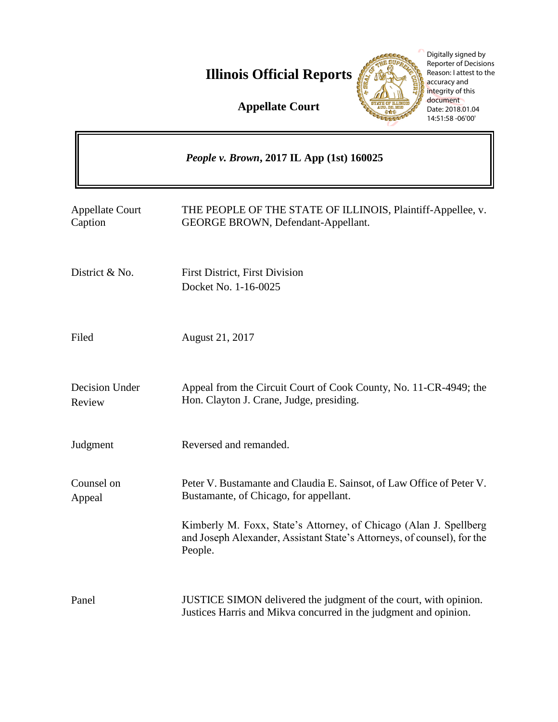**Illinois Official Reports** 

Digitally signed by Reporter of Decisions Reason: I attest to the accuracy and integrity of this document Date: 2018.01.04 14:51:58 -06'00'

THE SUPAC  $\mathcal{L}$ 

> ъ. 555

**Appellate Court**

|                                   | People v. Brown, 2017 IL App (1st) 160025                                                                                                                |
|-----------------------------------|----------------------------------------------------------------------------------------------------------------------------------------------------------|
| <b>Appellate Court</b><br>Caption | THE PEOPLE OF THE STATE OF ILLINOIS, Plaintiff-Appellee, v.<br><b>GEORGE BROWN, Defendant-Appellant.</b>                                                 |
| District & No.                    | <b>First District, First Division</b><br>Docket No. 1-16-0025                                                                                            |
| Filed                             | August 21, 2017                                                                                                                                          |
| Decision Under<br>Review          | Appeal from the Circuit Court of Cook County, No. 11-CR-4949; the<br>Hon. Clayton J. Crane, Judge, presiding.                                            |
| Judgment                          | Reversed and remanded.                                                                                                                                   |
| Counsel on<br>Appeal              | Peter V. Bustamante and Claudia E. Sainsot, of Law Office of Peter V.<br>Bustamante, of Chicago, for appellant.                                          |
|                                   | Kimberly M. Foxx, State's Attorney, of Chicago (Alan J. Spellberg)<br>and Joseph Alexander, Assistant State's Attorneys, of counsel), for the<br>People. |
| Panel                             | JUSTICE SIMON delivered the judgment of the court, with opinion.<br>Justices Harris and Mikva concurred in the judgment and opinion.                     |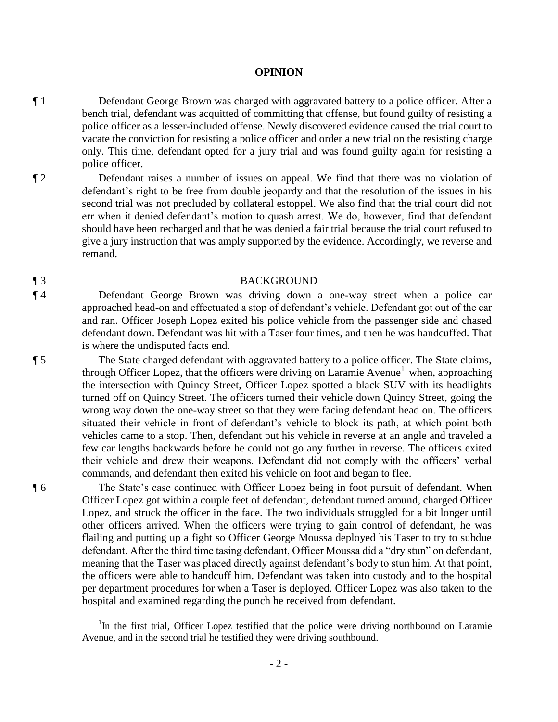#### **OPINION**

- ¶ 1 Defendant George Brown was charged with aggravated battery to a police officer. After a bench trial, defendant was acquitted of committing that offense, but found guilty of resisting a police officer as a lesser-included offense. Newly discovered evidence caused the trial court to vacate the conviction for resisting a police officer and order a new trial on the resisting charge only. This time, defendant opted for a jury trial and was found guilty again for resisting a police officer.
- ¶ 2 Defendant raises a number of issues on appeal. We find that there was no violation of defendant's right to be free from double jeopardy and that the resolution of the issues in his second trial was not precluded by collateral estoppel. We also find that the trial court did not err when it denied defendant's motion to quash arrest. We do, however, find that defendant should have been recharged and that he was denied a fair trial because the trial court refused to give a jury instruction that was amply supported by the evidence. Accordingly, we reverse and remand.

#### ¶ 3 BACKGROUND

¶ 4 Defendant George Brown was driving down a one-way street when a police car approached head-on and effectuated a stop of defendant's vehicle. Defendant got out of the car and ran. Officer Joseph Lopez exited his police vehicle from the passenger side and chased defendant down. Defendant was hit with a Taser four times, and then he was handcuffed. That is where the undisputed facts end.

¶ 5 The State charged defendant with aggravated battery to a police officer. The State claims, through Officer Lopez, that the officers were driving on Laramie Avenue<sup>1</sup> when, approaching the intersection with Quincy Street, Officer Lopez spotted a black SUV with its headlights turned off on Quincy Street. The officers turned their vehicle down Quincy Street, going the wrong way down the one-way street so that they were facing defendant head on. The officers situated their vehicle in front of defendant's vehicle to block its path, at which point both vehicles came to a stop. Then, defendant put his vehicle in reverse at an angle and traveled a few car lengths backwards before he could not go any further in reverse. The officers exited their vehicle and drew their weapons. Defendant did not comply with the officers' verbal commands, and defendant then exited his vehicle on foot and began to flee.

¶ 6 The State's case continued with Officer Lopez being in foot pursuit of defendant. When Officer Lopez got within a couple feet of defendant, defendant turned around, charged Officer Lopez, and struck the officer in the face. The two individuals struggled for a bit longer until other officers arrived. When the officers were trying to gain control of defendant, he was flailing and putting up a fight so Officer George Moussa deployed his Taser to try to subdue defendant. After the third time tasing defendant, Officer Moussa did a "dry stun" on defendant, meaning that the Taser was placed directly against defendant's body to stun him. At that point, the officers were able to handcuff him. Defendant was taken into custody and to the hospital per department procedures for when a Taser is deployed. Officer Lopez was also taken to the hospital and examined regarding the punch he received from defendant.

 $\overline{a}$ 

<sup>&</sup>lt;sup>1</sup>In the first trial, Officer Lopez testified that the police were driving northbound on Laramie Avenue, and in the second trial he testified they were driving southbound.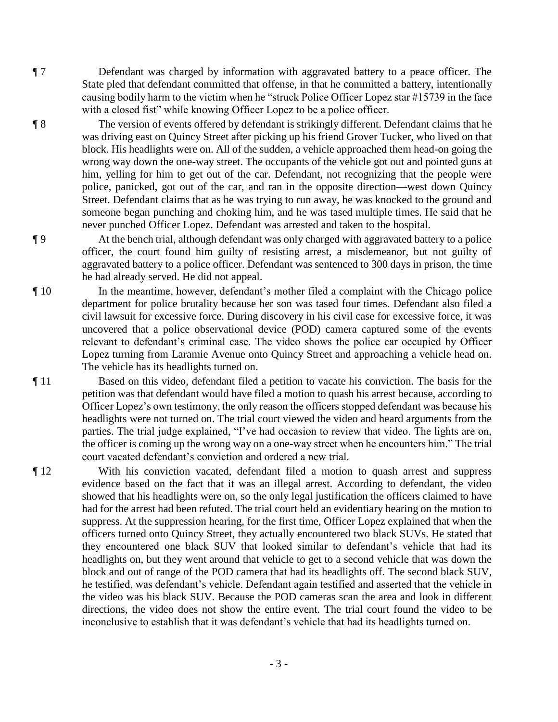¶ 7 Defendant was charged by information with aggravated battery to a peace officer. The State pled that defendant committed that offense, in that he committed a battery, intentionally causing bodily harm to the victim when he "struck Police Officer Lopez star #15739 in the face with a closed fist" while knowing Officer Lopez to be a police officer.

¶ 8 The version of events offered by defendant is strikingly different. Defendant claims that he was driving east on Quincy Street after picking up his friend Grover Tucker, who lived on that block. His headlights were on. All of the sudden, a vehicle approached them head-on going the wrong way down the one-way street. The occupants of the vehicle got out and pointed guns at him, yelling for him to get out of the car. Defendant, not recognizing that the people were police, panicked, got out of the car, and ran in the opposite direction—west down Quincy Street. Defendant claims that as he was trying to run away, he was knocked to the ground and someone began punching and choking him, and he was tased multiple times. He said that he never punched Officer Lopez. Defendant was arrested and taken to the hospital.

¶ 9 At the bench trial, although defendant was only charged with aggravated battery to a police officer, the court found him guilty of resisting arrest, a misdemeanor, but not guilty of aggravated battery to a police officer. Defendant was sentenced to 300 days in prison, the time he had already served. He did not appeal.

¶ 10 In the meantime, however, defendant's mother filed a complaint with the Chicago police department for police brutality because her son was tased four times. Defendant also filed a civil lawsuit for excessive force. During discovery in his civil case for excessive force, it was uncovered that a police observational device (POD) camera captured some of the events relevant to defendant's criminal case. The video shows the police car occupied by Officer Lopez turning from Laramie Avenue onto Quincy Street and approaching a vehicle head on. The vehicle has its headlights turned on.

¶ 11 Based on this video, defendant filed a petition to vacate his conviction. The basis for the petition was that defendant would have filed a motion to quash his arrest because, according to Officer Lopez's own testimony, the only reason the officers stopped defendant was because his headlights were not turned on. The trial court viewed the video and heard arguments from the parties. The trial judge explained, "I've had occasion to review that video. The lights are on, the officer is coming up the wrong way on a one-way street when he encounters him." The trial court vacated defendant's conviction and ordered a new trial.

¶ 12 With his conviction vacated, defendant filed a motion to quash arrest and suppress evidence based on the fact that it was an illegal arrest. According to defendant, the video showed that his headlights were on, so the only legal justification the officers claimed to have had for the arrest had been refuted. The trial court held an evidentiary hearing on the motion to suppress. At the suppression hearing, for the first time, Officer Lopez explained that when the officers turned onto Quincy Street, they actually encountered two black SUVs. He stated that they encountered one black SUV that looked similar to defendant's vehicle that had its headlights on, but they went around that vehicle to get to a second vehicle that was down the block and out of range of the POD camera that had its headlights off. The second black SUV, he testified, was defendant's vehicle. Defendant again testified and asserted that the vehicle in the video was his black SUV. Because the POD cameras scan the area and look in different directions, the video does not show the entire event. The trial court found the video to be inconclusive to establish that it was defendant's vehicle that had its headlights turned on.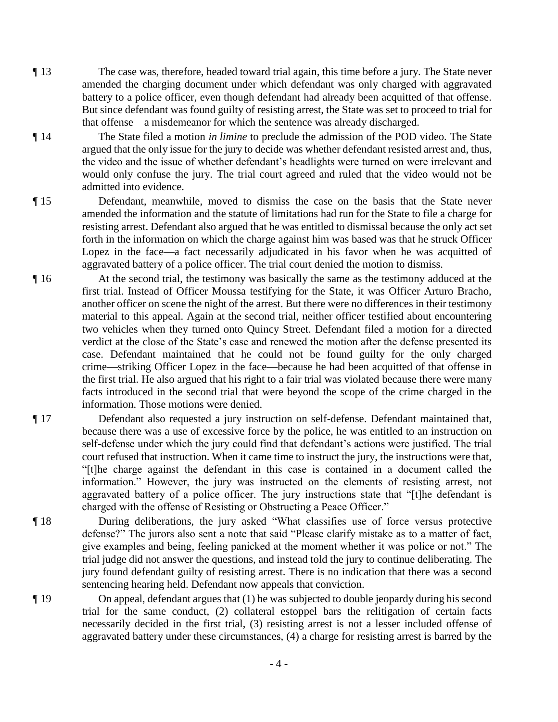- ¶ 13 The case was, therefore, headed toward trial again, this time before a jury. The State never amended the charging document under which defendant was only charged with aggravated battery to a police officer, even though defendant had already been acquitted of that offense. But since defendant was found guilty of resisting arrest, the State was set to proceed to trial for that offense—a misdemeanor for which the sentence was already discharged.
- ¶ 14 The State filed a motion *in limine* to preclude the admission of the POD video. The State argued that the only issue for the jury to decide was whether defendant resisted arrest and, thus, the video and the issue of whether defendant's headlights were turned on were irrelevant and would only confuse the jury. The trial court agreed and ruled that the video would not be admitted into evidence.
- ¶ 15 Defendant, meanwhile, moved to dismiss the case on the basis that the State never amended the information and the statute of limitations had run for the State to file a charge for resisting arrest. Defendant also argued that he was entitled to dismissal because the only act set forth in the information on which the charge against him was based was that he struck Officer Lopez in the face—a fact necessarily adjudicated in his favor when he was acquitted of aggravated battery of a police officer. The trial court denied the motion to dismiss.
- ¶ 16 At the second trial, the testimony was basically the same as the testimony adduced at the first trial. Instead of Officer Moussa testifying for the State, it was Officer Arturo Bracho, another officer on scene the night of the arrest. But there were no differences in their testimony material to this appeal. Again at the second trial, neither officer testified about encountering two vehicles when they turned onto Quincy Street. Defendant filed a motion for a directed verdict at the close of the State's case and renewed the motion after the defense presented its case. Defendant maintained that he could not be found guilty for the only charged crime—striking Officer Lopez in the face—because he had been acquitted of that offense in the first trial. He also argued that his right to a fair trial was violated because there were many facts introduced in the second trial that were beyond the scope of the crime charged in the information. Those motions were denied.
- ¶ 17 Defendant also requested a jury instruction on self-defense. Defendant maintained that, because there was a use of excessive force by the police, he was entitled to an instruction on self-defense under which the jury could find that defendant's actions were justified. The trial court refused that instruction. When it came time to instruct the jury, the instructions were that, "[t]he charge against the defendant in this case is contained in a document called the information." However, the jury was instructed on the elements of resisting arrest, not aggravated battery of a police officer. The jury instructions state that "[t]he defendant is charged with the offense of Resisting or Obstructing a Peace Officer."
- ¶ 18 During deliberations, the jury asked "What classifies use of force versus protective defense?" The jurors also sent a note that said "Please clarify mistake as to a matter of fact, give examples and being, feeling panicked at the moment whether it was police or not." The trial judge did not answer the questions, and instead told the jury to continue deliberating. The jury found defendant guilty of resisting arrest. There is no indication that there was a second sentencing hearing held. Defendant now appeals that conviction.
- ¶ 19 On appeal, defendant argues that (1) he was subjected to double jeopardy during his second trial for the same conduct, (2) collateral estoppel bars the relitigation of certain facts necessarily decided in the first trial, (3) resisting arrest is not a lesser included offense of aggravated battery under these circumstances, (4) a charge for resisting arrest is barred by the

- 4 -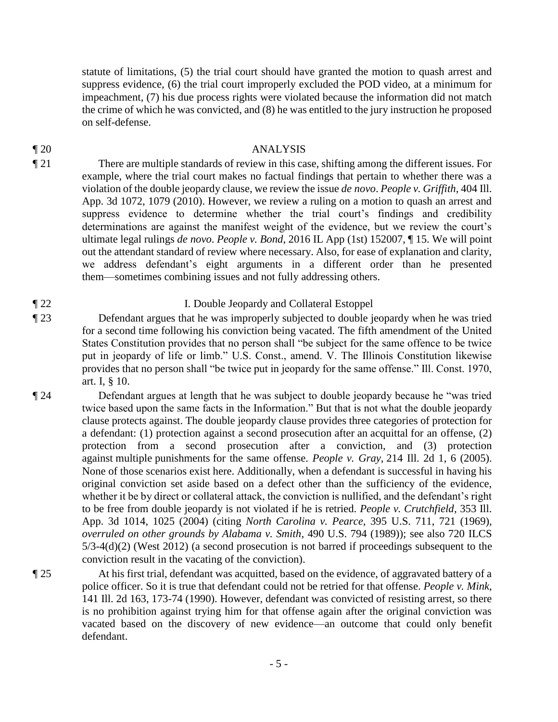statute of limitations, (5) the trial court should have granted the motion to quash arrest and suppress evidence, (6) the trial court improperly excluded the POD video, at a minimum for impeachment, (7) his due process rights were violated because the information did not match the crime of which he was convicted, and (8) he was entitled to the jury instruction he proposed on self-defense.

### ¶ 20 ANALYSIS

¶ 21 There are multiple standards of review in this case, shifting among the different issues. For example, where the trial court makes no factual findings that pertain to whether there was a violation of the double jeopardy clause, we review the issue *de novo*. *People v. Griffith*, 404 Ill. App. 3d 1072, 1079 (2010). However, we review a ruling on a motion to quash an arrest and suppress evidence to determine whether the trial court's findings and credibility determinations are against the manifest weight of the evidence, but we review the court's ultimate legal rulings *de novo*. *People v. Bond*, 2016 IL App (1st) 152007, ¶ 15. We will point out the attendant standard of review where necessary. Also, for ease of explanation and clarity, we address defendant's eight arguments in a different order than he presented them—sometimes combining issues and not fully addressing others.

# ¶ 22 I. Double Jeopardy and Collateral Estoppel

¶ 23 Defendant argues that he was improperly subjected to double jeopardy when he was tried for a second time following his conviction being vacated. The fifth amendment of the United States Constitution provides that no person shall "be subject for the same offence to be twice put in jeopardy of life or limb." U.S. Const., amend. V. The Illinois Constitution likewise provides that no person shall "be twice put in jeopardy for the same offense." Ill. Const. 1970, art. I, § 10.

¶ 24 Defendant argues at length that he was subject to double jeopardy because he "was tried twice based upon the same facts in the Information." But that is not what the double jeopardy clause protects against. The double jeopardy clause provides three categories of protection for a defendant: (1) protection against a second prosecution after an acquittal for an offense, (2) protection from a second prosecution after a conviction, and (3) protection against multiple punishments for the same offense. *People v. Gray*, 214 Ill. 2d 1, 6 (2005). None of those scenarios exist here. Additionally, when a defendant is successful in having his original conviction set aside based on a defect other than the sufficiency of the evidence, whether it be by direct or collateral attack, the conviction is nullified, and the defendant's right to be free from double jeopardy is not violated if he is retried. *People v. Crutchfield*, 353 Ill. App. 3d 1014, 1025 (2004) (citing *North Carolina v. Pearce*, 395 U.S. 711, 721 (1969), *overruled on other grounds by Alabama v. Smith*, 490 U.S. 794 (1989)); see also 720 ILCS 5/3-4(d)(2) (West 2012) (a second prosecution is not barred if proceedings subsequent to the conviction result in the vacating of the conviction).

¶ 25 At his first trial, defendant was acquitted, based on the evidence, of aggravated battery of a police officer. So it is true that defendant could not be retried for that offense. *People v. Mink*, 141 Ill. 2d 163, 173-74 (1990). However, defendant was convicted of resisting arrest, so there is no prohibition against trying him for that offense again after the original conviction was vacated based on the discovery of new evidence—an outcome that could only benefit defendant.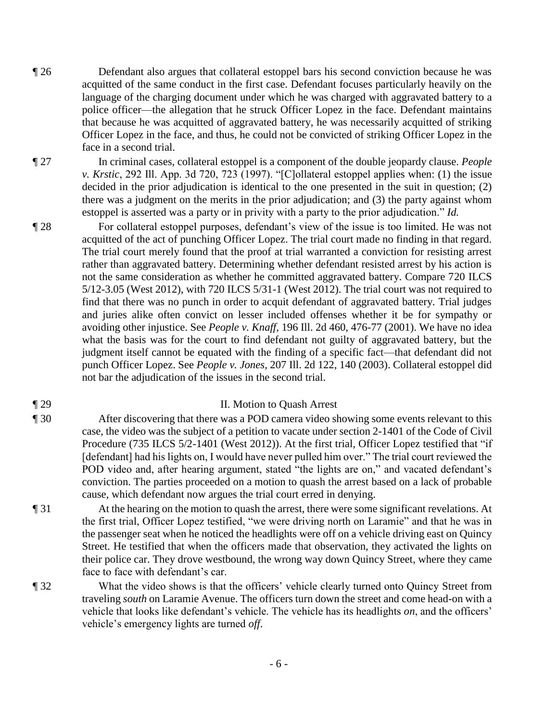¶ 26 Defendant also argues that collateral estoppel bars his second conviction because he was acquitted of the same conduct in the first case. Defendant focuses particularly heavily on the language of the charging document under which he was charged with aggravated battery to a police officer—the allegation that he struck Officer Lopez in the face. Defendant maintains that because he was acquitted of aggravated battery, he was necessarily acquitted of striking Officer Lopez in the face, and thus, he could not be convicted of striking Officer Lopez in the face in a second trial.

¶ 27 In criminal cases, collateral estoppel is a component of the double jeopardy clause. *People v. Krstic*, 292 Ill. App. 3d 720, 723 (1997). "[C]ollateral estoppel applies when: (1) the issue decided in the prior adjudication is identical to the one presented in the suit in question; (2) there was a judgment on the merits in the prior adjudication; and (3) the party against whom estoppel is asserted was a party or in privity with a party to the prior adjudication." *Id.*

¶ 28 For collateral estoppel purposes, defendant's view of the issue is too limited. He was not acquitted of the act of punching Officer Lopez. The trial court made no finding in that regard. The trial court merely found that the proof at trial warranted a conviction for resisting arrest rather than aggravated battery. Determining whether defendant resisted arrest by his action is not the same consideration as whether he committed aggravated battery. Compare 720 ILCS 5/12-3.05 (West 2012), with 720 ILCS 5/31-1 (West 2012). The trial court was not required to find that there was no punch in order to acquit defendant of aggravated battery. Trial judges and juries alike often convict on lesser included offenses whether it be for sympathy or avoiding other injustice. See *People v. Knaff*, 196 Ill. 2d 460, 476-77 (2001). We have no idea what the basis was for the court to find defendant not guilty of aggravated battery, but the judgment itself cannot be equated with the finding of a specific fact—that defendant did not punch Officer Lopez. See *People v. Jones*, 207 Ill. 2d 122, 140 (2003). Collateral estoppel did not bar the adjudication of the issues in the second trial.

### ¶ 29 II. Motion to Quash Arrest

- ¶ 30 After discovering that there was a POD camera video showing some events relevant to this case, the video was the subject of a petition to vacate under section 2-1401 of the Code of Civil Procedure (735 ILCS 5/2-1401 (West 2012)). At the first trial, Officer Lopez testified that "if [defendant] had his lights on, I would have never pulled him over." The trial court reviewed the POD video and, after hearing argument, stated "the lights are on," and vacated defendant's conviction. The parties proceeded on a motion to quash the arrest based on a lack of probable cause, which defendant now argues the trial court erred in denying.
- ¶ 31 At the hearing on the motion to quash the arrest, there were some significant revelations. At the first trial, Officer Lopez testified, "we were driving north on Laramie" and that he was in the passenger seat when he noticed the headlights were off on a vehicle driving east on Quincy Street. He testified that when the officers made that observation, they activated the lights on their police car. They drove westbound, the wrong way down Quincy Street, where they came face to face with defendant's car.
- ¶ 32 What the video shows is that the officers' vehicle clearly turned onto Quincy Street from traveling *south* on Laramie Avenue. The officers turn down the street and come head-on with a vehicle that looks like defendant's vehicle. The vehicle has its headlights *on*, and the officers' vehicle's emergency lights are turned *off*.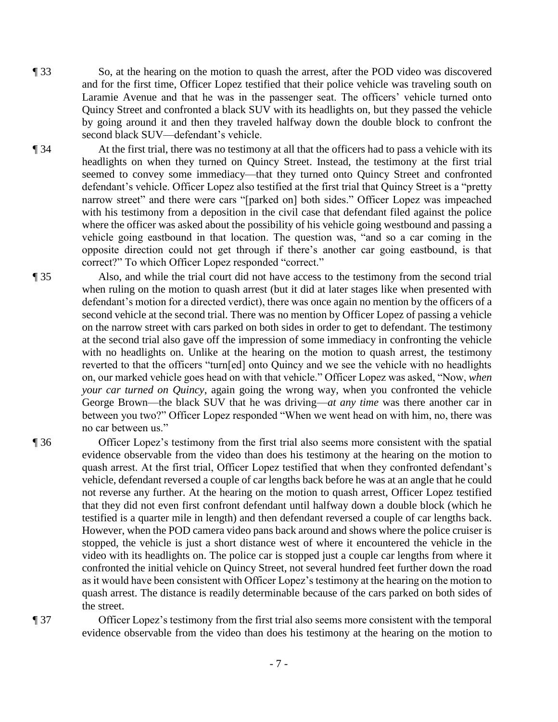¶ 33 So, at the hearing on the motion to quash the arrest, after the POD video was discovered and for the first time, Officer Lopez testified that their police vehicle was traveling south on Laramie Avenue and that he was in the passenger seat. The officers' vehicle turned onto Quincy Street and confronted a black SUV with its headlights on, but they passed the vehicle by going around it and then they traveled halfway down the double block to confront the second black SUV—defendant's vehicle.

¶ 34 At the first trial, there was no testimony at all that the officers had to pass a vehicle with its headlights on when they turned on Quincy Street. Instead, the testimony at the first trial seemed to convey some immediacy—that they turned onto Quincy Street and confronted defendant's vehicle. Officer Lopez also testified at the first trial that Quincy Street is a "pretty narrow street" and there were cars "[parked on] both sides." Officer Lopez was impeached with his testimony from a deposition in the civil case that defendant filed against the police where the officer was asked about the possibility of his vehicle going westbound and passing a vehicle going eastbound in that location. The question was, "and so a car coming in the opposite direction could not get through if there's another car going eastbound, is that

correct?" To which Officer Lopez responded "correct."

¶ 35 Also, and while the trial court did not have access to the testimony from the second trial when ruling on the motion to quash arrest (but it did at later stages like when presented with defendant's motion for a directed verdict), there was once again no mention by the officers of a second vehicle at the second trial. There was no mention by Officer Lopez of passing a vehicle on the narrow street with cars parked on both sides in order to get to defendant. The testimony at the second trial also gave off the impression of some immediacy in confronting the vehicle with no headlights on. Unlike at the hearing on the motion to quash arrest, the testimony reverted to that the officers "turn[ed] onto Quincy and we see the vehicle with no headlights on, our marked vehicle goes head on with that vehicle." Officer Lopez was asked, "Now, *when your car turned on Quincy*, again going the wrong way, when you confronted the vehicle George Brown—the black SUV that he was driving—*at any time* was there another car in between you two?" Officer Lopez responded "When we went head on with him, no, there was no car between us."

¶ 36 Officer Lopez's testimony from the first trial also seems more consistent with the spatial evidence observable from the video than does his testimony at the hearing on the motion to quash arrest. At the first trial, Officer Lopez testified that when they confronted defendant's vehicle, defendant reversed a couple of car lengths back before he was at an angle that he could not reverse any further. At the hearing on the motion to quash arrest, Officer Lopez testified that they did not even first confront defendant until halfway down a double block (which he testified is a quarter mile in length) and then defendant reversed a couple of car lengths back. However, when the POD camera video pans back around and shows where the police cruiser is stopped, the vehicle is just a short distance west of where it encountered the vehicle in the video with its headlights on. The police car is stopped just a couple car lengths from where it confronted the initial vehicle on Quincy Street, not several hundred feet further down the road as it would have been consistent with Officer Lopez's testimony at the hearing on the motion to quash arrest. The distance is readily determinable because of the cars parked on both sides of the street.

¶ 37 Officer Lopez's testimony from the first trial also seems more consistent with the temporal evidence observable from the video than does his testimony at the hearing on the motion to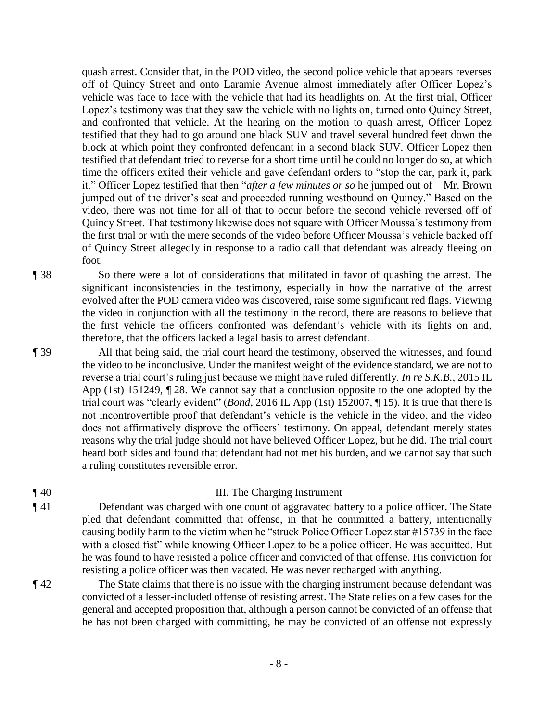quash arrest. Consider that, in the POD video, the second police vehicle that appears reverses off of Quincy Street and onto Laramie Avenue almost immediately after Officer Lopez's vehicle was face to face with the vehicle that had its headlights on. At the first trial, Officer Lopez's testimony was that they saw the vehicle with no lights on, turned onto Quincy Street, and confronted that vehicle. At the hearing on the motion to quash arrest, Officer Lopez testified that they had to go around one black SUV and travel several hundred feet down the block at which point they confronted defendant in a second black SUV. Officer Lopez then testified that defendant tried to reverse for a short time until he could no longer do so, at which time the officers exited their vehicle and gave defendant orders to "stop the car, park it, park it." Officer Lopez testified that then "*after a few minutes or so* he jumped out of—Mr. Brown jumped out of the driver's seat and proceeded running westbound on Quincy." Based on the video, there was not time for all of that to occur before the second vehicle reversed off of Quincy Street. That testimony likewise does not square with Officer Moussa's testimony from the first trial or with the mere seconds of the video before Officer Moussa's vehicle backed off of Quincy Street allegedly in response to a radio call that defendant was already fleeing on foot.

¶ 38 So there were a lot of considerations that militated in favor of quashing the arrest. The significant inconsistencies in the testimony, especially in how the narrative of the arrest evolved after the POD camera video was discovered, raise some significant red flags. Viewing the video in conjunction with all the testimony in the record, there are reasons to believe that the first vehicle the officers confronted was defendant's vehicle with its lights on and, therefore, that the officers lacked a legal basis to arrest defendant.

¶ 39 All that being said, the trial court heard the testimony, observed the witnesses, and found the video to be inconclusive. Under the manifest weight of the evidence standard, we are not to reverse a trial court's ruling just because we might have ruled differently. *In re S.K.B.*, 2015 IL App (1st) 151249, ¶ 28. We cannot say that a conclusion opposite to the one adopted by the trial court was "clearly evident" (*Bond*, 2016 IL App (1st) 152007, ¶ 15). It is true that there is not incontrovertible proof that defendant's vehicle is the vehicle in the video, and the video does not affirmatively disprove the officers' testimony. On appeal, defendant merely states reasons why the trial judge should not have believed Officer Lopez, but he did. The trial court heard both sides and found that defendant had not met his burden, and we cannot say that such a ruling constitutes reversible error.

#### ¶ 40 III. The Charging Instrument

- ¶ 41 Defendant was charged with one count of aggravated battery to a police officer. The State pled that defendant committed that offense, in that he committed a battery, intentionally causing bodily harm to the victim when he "struck Police Officer Lopez star #15739 in the face with a closed fist" while knowing Officer Lopez to be a police officer. He was acquitted. But he was found to have resisted a police officer and convicted of that offense. His conviction for resisting a police officer was then vacated. He was never recharged with anything.
- ¶ 42 The State claims that there is no issue with the charging instrument because defendant was convicted of a lesser-included offense of resisting arrest. The State relies on a few cases for the general and accepted proposition that, although a person cannot be convicted of an offense that he has not been charged with committing, he may be convicted of an offense not expressly

- 8 -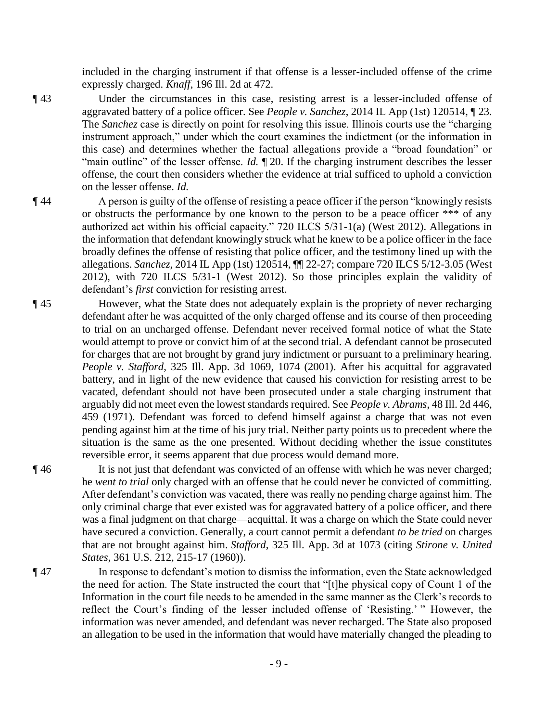included in the charging instrument if that offense is a lesser-included offense of the crime expressly charged. *Knaff*, 196 Ill. 2d at 472.

¶ 43 Under the circumstances in this case, resisting arrest is a lesser-included offense of aggravated battery of a police officer. See *People v. Sanchez*, 2014 IL App (1st) 120514, ¶ 23. The *Sanchez* case is directly on point for resolving this issue. Illinois courts use the "charging instrument approach," under which the court examines the indictment (or the information in this case) and determines whether the factual allegations provide a "broad foundation" or "main outline" of the lesser offense. *Id.* ¶ 20. If the charging instrument describes the lesser offense, the court then considers whether the evidence at trial sufficed to uphold a conviction on the lesser offense. *Id.*

¶ 44 A person is guilty of the offense of resisting a peace officer if the person "knowingly resists or obstructs the performance by one known to the person to be a peace officer \*\*\* of any authorized act within his official capacity." 720 ILCS 5/31-1(a) (West 2012). Allegations in the information that defendant knowingly struck what he knew to be a police officer in the face broadly defines the offense of resisting that police officer, and the testimony lined up with the allegations. *Sanchez*, 2014 IL App (1st) 120514, ¶¶ 22-27; compare 720 ILCS 5/12-3.05 (West 2012), with 720 ILCS 5/31-1 (West 2012). So those principles explain the validity of defendant's *first* conviction for resisting arrest.

¶ 45 However, what the State does not adequately explain is the propriety of never recharging defendant after he was acquitted of the only charged offense and its course of then proceeding to trial on an uncharged offense. Defendant never received formal notice of what the State would attempt to prove or convict him of at the second trial. A defendant cannot be prosecuted for charges that are not brought by grand jury indictment or pursuant to a preliminary hearing. *People v. Stafford*, 325 Ill. App. 3d 1069, 1074 (2001). After his acquittal for aggravated battery, and in light of the new evidence that caused his conviction for resisting arrest to be vacated, defendant should not have been prosecuted under a stale charging instrument that arguably did not meet even the lowest standards required. See *People v. Abrams*, 48 Ill. 2d 446, 459 (1971). Defendant was forced to defend himself against a charge that was not even pending against him at the time of his jury trial. Neither party points us to precedent where the situation is the same as the one presented. Without deciding whether the issue constitutes reversible error, it seems apparent that due process would demand more.

¶ 46 It is not just that defendant was convicted of an offense with which he was never charged; he *went to trial* only charged with an offense that he could never be convicted of committing. After defendant's conviction was vacated, there was really no pending charge against him. The only criminal charge that ever existed was for aggravated battery of a police officer, and there was a final judgment on that charge—acquittal. It was a charge on which the State could never have secured a conviction. Generally, a court cannot permit a defendant *to be tried* on charges that are not brought against him. *Stafford*, 325 Ill. App. 3d at 1073 (citing *Stirone v. United States*, 361 U.S. 212, 215-17 (1960)).

¶ 47 In response to defendant's motion to dismiss the information, even the State acknowledged the need for action. The State instructed the court that "[t]he physical copy of Count 1 of the Information in the court file needs to be amended in the same manner as the Clerk's records to reflect the Court's finding of the lesser included offense of 'Resisting.' " However, the information was never amended, and defendant was never recharged. The State also proposed an allegation to be used in the information that would have materially changed the pleading to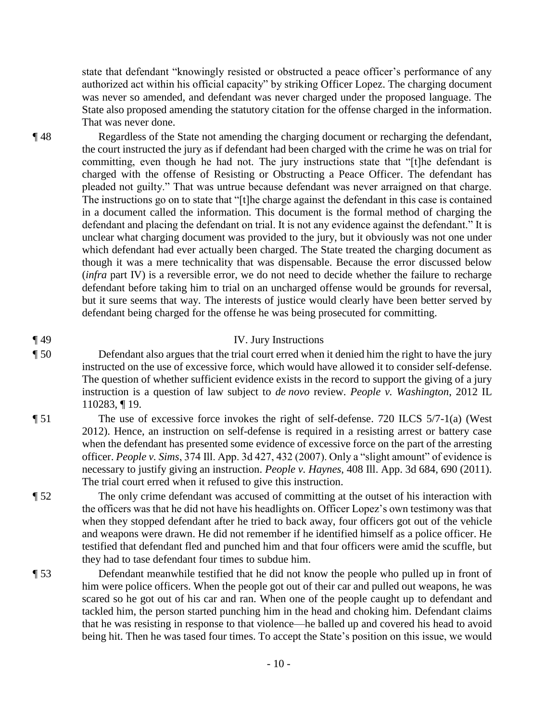state that defendant "knowingly resisted or obstructed a peace officer's performance of any authorized act within his official capacity" by striking Officer Lopez. The charging document was never so amended, and defendant was never charged under the proposed language. The State also proposed amending the statutory citation for the offense charged in the information. That was never done.

¶ 48 Regardless of the State not amending the charging document or recharging the defendant, the court instructed the jury as if defendant had been charged with the crime he was on trial for committing, even though he had not. The jury instructions state that "[t]he defendant is charged with the offense of Resisting or Obstructing a Peace Officer. The defendant has pleaded not guilty." That was untrue because defendant was never arraigned on that charge. The instructions go on to state that "[t]he charge against the defendant in this case is contained in a document called the information. This document is the formal method of charging the defendant and placing the defendant on trial. It is not any evidence against the defendant." It is unclear what charging document was provided to the jury, but it obviously was not one under which defendant had ever actually been charged. The State treated the charging document as though it was a mere technicality that was dispensable. Because the error discussed below (*infra* part IV) is a reversible error, we do not need to decide whether the failure to recharge defendant before taking him to trial on an uncharged offense would be grounds for reversal, but it sure seems that way. The interests of justice would clearly have been better served by defendant being charged for the offense he was being prosecuted for committing.

# ¶ 49 IV. Jury Instructions

- ¶ 50 Defendant also argues that the trial court erred when it denied him the right to have the jury instructed on the use of excessive force, which would have allowed it to consider self-defense. The question of whether sufficient evidence exists in the record to support the giving of a jury instruction is a question of law subject to *de novo* review. *People v. Washington*, 2012 IL 110283, ¶ 19.
- ¶ 51 The use of excessive force invokes the right of self-defense. 720 ILCS 5/7-1(a) (West 2012). Hence, an instruction on self-defense is required in a resisting arrest or battery case when the defendant has presented some evidence of excessive force on the part of the arresting officer. *People v. Sims*, 374 Ill. App. 3d 427, 432 (2007). Only a "slight amount" of evidence is necessary to justify giving an instruction. *People v. Haynes*, 408 Ill. App. 3d 684, 690 (2011). The trial court erred when it refused to give this instruction.
- ¶ 52 The only crime defendant was accused of committing at the outset of his interaction with the officers was that he did not have his headlights on. Officer Lopez's own testimony was that when they stopped defendant after he tried to back away, four officers got out of the vehicle and weapons were drawn. He did not remember if he identified himself as a police officer. He testified that defendant fled and punched him and that four officers were amid the scuffle, but they had to tase defendant four times to subdue him.
- ¶ 53 Defendant meanwhile testified that he did not know the people who pulled up in front of him were police officers. When the people got out of their car and pulled out weapons, he was scared so he got out of his car and ran. When one of the people caught up to defendant and tackled him, the person started punching him in the head and choking him. Defendant claims that he was resisting in response to that violence—he balled up and covered his head to avoid being hit. Then he was tased four times. To accept the State's position on this issue, we would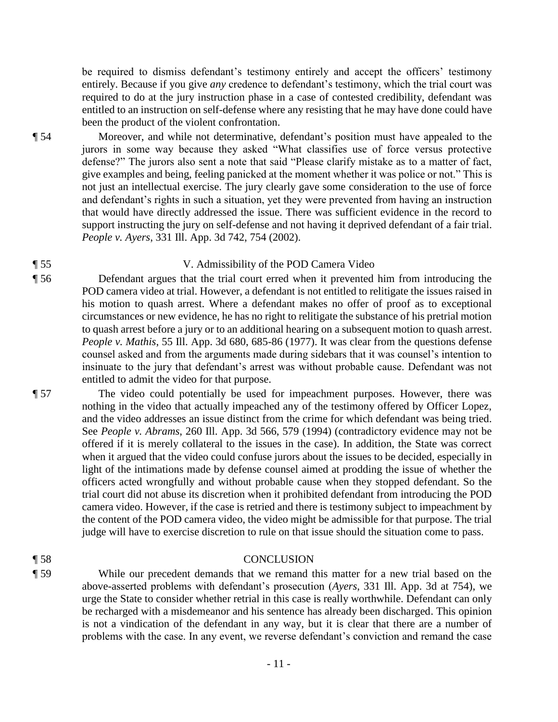be required to dismiss defendant's testimony entirely and accept the officers' testimony entirely. Because if you give *any* credence to defendant's testimony, which the trial court was required to do at the jury instruction phase in a case of contested credibility, defendant was entitled to an instruction on self-defense where any resisting that he may have done could have been the product of the violent confrontation.

¶ 54 Moreover, and while not determinative, defendant's position must have appealed to the jurors in some way because they asked "What classifies use of force versus protective defense?" The jurors also sent a note that said "Please clarify mistake as to a matter of fact, give examples and being, feeling panicked at the moment whether it was police or not." This is not just an intellectual exercise. The jury clearly gave some consideration to the use of force and defendant's rights in such a situation, yet they were prevented from having an instruction that would have directly addressed the issue. There was sufficient evidence in the record to support instructing the jury on self-defense and not having it deprived defendant of a fair trial. *People v. Ayers*, 331 Ill. App. 3d 742, 754 (2002).

### ¶ 55 V. Admissibility of the POD Camera Video

¶ 56 Defendant argues that the trial court erred when it prevented him from introducing the POD camera video at trial. However, a defendant is not entitled to relitigate the issues raised in his motion to quash arrest. Where a defendant makes no offer of proof as to exceptional circumstances or new evidence, he has no right to relitigate the substance of his pretrial motion to quash arrest before a jury or to an additional hearing on a subsequent motion to quash arrest. *People v. Mathis*, 55 Ill. App. 3d 680, 685-86 (1977). It was clear from the questions defense counsel asked and from the arguments made during sidebars that it was counsel's intention to insinuate to the jury that defendant's arrest was without probable cause. Defendant was not entitled to admit the video for that purpose.

¶ 57 The video could potentially be used for impeachment purposes. However, there was nothing in the video that actually impeached any of the testimony offered by Officer Lopez, and the video addresses an issue distinct from the crime for which defendant was being tried. See *People v. Abrams*, 260 Ill. App. 3d 566, 579 (1994) (contradictory evidence may not be offered if it is merely collateral to the issues in the case). In addition, the State was correct when it argued that the video could confuse jurors about the issues to be decided, especially in light of the intimations made by defense counsel aimed at prodding the issue of whether the officers acted wrongfully and without probable cause when they stopped defendant. So the trial court did not abuse its discretion when it prohibited defendant from introducing the POD camera video. However, if the case is retried and there is testimony subject to impeachment by the content of the POD camera video, the video might be admissible for that purpose. The trial judge will have to exercise discretion to rule on that issue should the situation come to pass.

### ¶ 58 CONCLUSION

¶ 59 While our precedent demands that we remand this matter for a new trial based on the above-asserted problems with defendant's prosecution (*Ayers*, 331 Ill. App. 3d at 754), we urge the State to consider whether retrial in this case is really worthwhile. Defendant can only be recharged with a misdemeanor and his sentence has already been discharged. This opinion is not a vindication of the defendant in any way, but it is clear that there are a number of problems with the case. In any event, we reverse defendant's conviction and remand the case